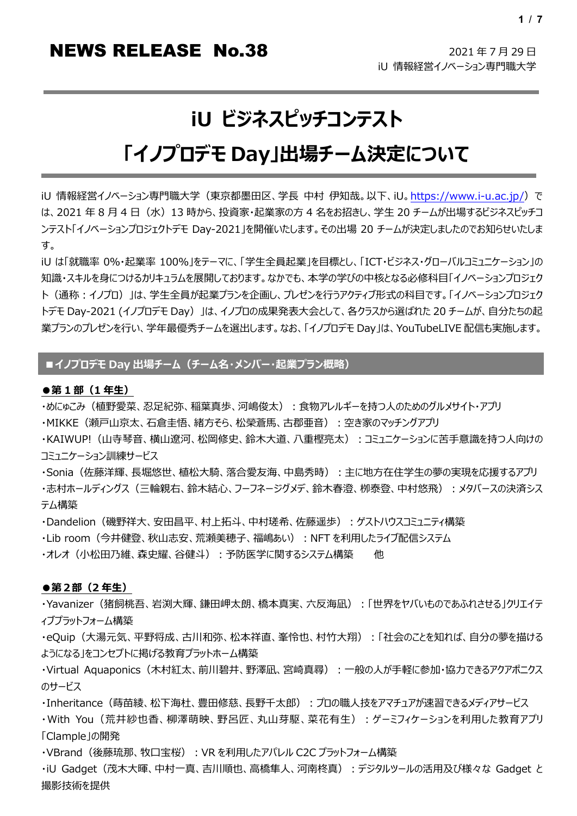# **iU ビジネスピッチコンテスト**

# **「イノプロデモ Day」出場チーム決定について**

iU 情報経営イノベーション専門職大学 (東京都墨田区、学長 中村 伊知哉。以下、iU[。https://www.i-u.ac.jp/\)](https://www.i-u.ac.jp/) で は、2021 年 8 月 4 日 (水) 13 時から、投資家・起業家の方 4 名をお招きし、学生 20 チームが出場するビジネスピッチコ ンテスト「イノベーションプロジェクトデモ Day-2021」を開催いたします。その出場 20 チームが決定しましたのでお知らせいたしま す。

iU は「就職率 0%・起業率 100%」をテーマに、「学生全員起業」を目標とし、「ICT・ビジネス・グローバルコミュニケーション」の 知識・スキルを身につけるカリキュラムを展開しております。なかでも、本学の学びの中核となる必修科目「イノベーションプロジェク ト(通称:イノプロ)」は、学生全員が起業プランを企画し、プレゼンを行うアクティブ形式の科目です。「イノベーションプロジェク トデモ Day-2021 (イノプロデモ Day)」は、イノプロの成果発表大会として、各クラスから選ばれた 20 チームが、自分たちの起 業プランのプレゼンを行い、学年最優秀チームを選出します。なお、「イノプロデモ Day」は、YouTubeLIVE 配信も実施します。

# **■イノプロデモ Day 出場チーム(チーム名・メンバー・起業プラン概略)**

### **●第 1 部(1 年生)**

・めにゅこみ(植野愛菜、忍足紀弥、稲葉真歩、河嶋俊太): 食物アレルギーを持つ人のためのグルメサイト・アプリ

・MIKKE(瀬戸山京太、石倉圭悟、緒方そら、松榮蒼馬、古郡亜音):空き家のマッチングアプリ

・KAIWUP! (山寺琴音、横山遼河、松岡修史、鈴木大道、八重樫亮太):コミュニケーションに苦手意識を持つ人向けの コミュニケーション訓練サービス

·Sonia(佐藤洋輝、長堀悠世、植松大騎、落合愛友海、中島秀時):主に地方在住学生の夢の実現を応援するアプリ ・志村ホールディングス(三輪親右、鈴木結心、フーフネージグメデ、鈴木春澄、栁泰登、中村悠飛):メタバースの決済シス テム構築

・Dandelion (磯野祥大、安田昌平、村上拓斗、中村瑳希、佐藤遥歩): ゲストハウスコミュニティ構築

・Lib room(今井健登、秋山志安、荒瀬美穂子、福嶋あい):NFT を利用したライブ配信システム

・オレオ(小松田乃維、森史耀、谷健斗): 予防医学に関するシステム構築 他

### **●第2部(2 年生)**

・Yavanizer(猪飼桃吾、岩渕大輝、鎌田岬太朗、橋本真実、六反海凪):「世界をヤバいものであふれさせる」クリエイテ ィブプラットフォーム構築

·eQuip (大湯元気、平野将成、古川和弥、松本祥直、峯怜也、村竹大翔):「社会のことを知れば、自分の夢を描ける ようになる」をコンセプトに掲げる教育プラットホーム構築

·Virtual Aquaponics (木村紅太、前川碧井、野澤凪、宮崎真尋):一般の人が手軽に参加・協力できるアクアポニクス のサービス

· Inheritance (蒔苗綾、松下海杜、豊田修慈、長野千太郎): プロの職人技をアマチュアが速習できるメディアサービス

·With You (荒井紗也香、柳澤萌映、野呂匠、丸山芽駆、菜花有生): ゲーミフィケーションを利用した教育アプリ 「Clample」の開発

·VBrand (後藤琉那、牧口宝桜): VR を利用したアパレル C2C プラットフォーム構築

・iU Gadget (茂木大暉、中村一真、吉川順也、高橋隼人、河南柊真):デジタルツールの活用及び様々な Gadget と 撮影技術を提供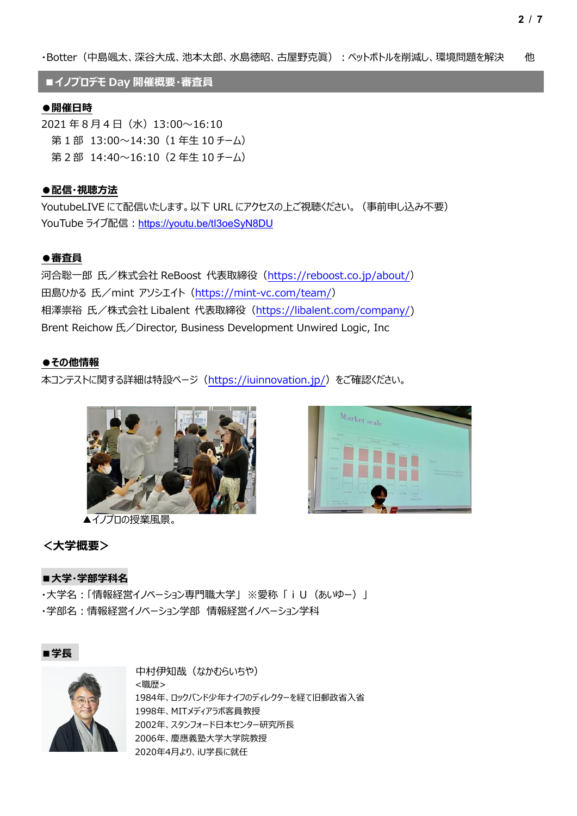**■イノプロデモ Day 開催概要・審査員**

### **●開催日時**

 $2021 \n\text{4} 8 \n\text{4} \n\text{H}$  (水)  $13:00 \sim 16:10$ 第 1 部 13:00~14:30(1 年生 10 チーム) 第 2 部 14:40~16:10 (2 年牛 10 チーム)

### **●配信・視聴方法**

YoutubeLIVE にて配信いたします。以下 URL にアクセスの上ご視聴ください。(事前申し込み不要) YouTube ライブ配信: <https://youtu.be/tI3oeSyN8DU>

### **●審査員**

河合聡一郎 氏/株式会社 ReBoost 代表取締役[\(https://reboost.co.jp/about/\)](https://reboost.co.jp/about/) 田島ひかる 氏/mint アソシエイト[\(https://mint-vc.com/team/\)](https://mint-vc.com/team/) 相澤崇裕 氏/株式会社 Libalent 代表取締役[\(https://libalent.com/company/\)](https://libalent.com/company/) Brent Reichow 氏/Director, Business Development Unwired Logic, Inc

### **●その他情報**

本コンテストに関する詳細は特設ページ[\(https://iuinnovation.jp/\)](https://iuinnovation.jp/)をご確認ください。



▲イノプロの授業風景。



### **<大学概要>**

### **■大学・学部学科名**

・大学名:「情報経営イノベーション専門職大学」 ※愛称 「iU(あいゆー)」 ・学部名:情報経営イノベーション学部 情報経営イノベーション学科





中村伊知哉(なかむらいちや) <職歴> 1984年、ロックバンド少年ナイフのディレクターを経て旧郵政省入省 1998年、MITメディアラボ客員教授 2002年、スタンフォード日本センター研究所長 2006年、慶應義塾大学大学院教授 2020年4月より、iU学長に就任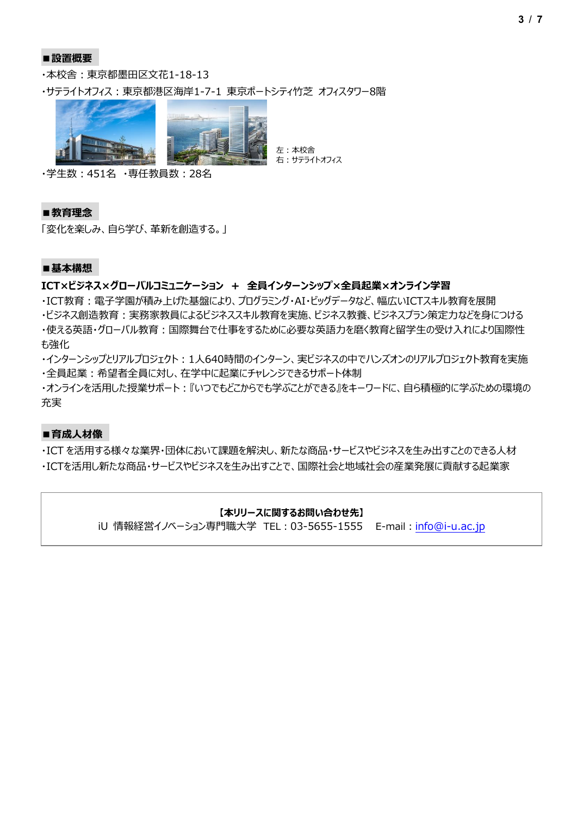### **■設置概要**

・本校舎:東京都墨田区文花1-18-13

・サテライトオフィス:東京都港区海岸1-7-1 東京ポートシティ竹芝 オフィスタワー8階



・学生数:451名 ・専任教員数:28名

### **■教育理念**

「変化を楽しみ、自ら学び、革新を創造する。」

### **■基本構想**

### **ICT×ビジネス×グローバルコミュニケーション + 全員インターンシップ×全員起業×オンライン学習**

・ICT教育:電子学園が積み上げた基盤により、プログラミング・AI・ビッグデータなど、幅広いICTスキル教育を展開 ・ビジネス創造教育:実務家教員によるビジネススキル教育を実施、ビジネス教養、ビジネスプラン策定力などを身につける ・使える英語・グローバル教育:国際舞台で仕事をするために必要な英語力を磨く教育と留学生の受け入れにより国際性 も強化

・インターンシップとリアルプロジェクト:1人640時間のインターン、実ビジネスの中でハンズオンのリアルプロジェクト教育を実施 ・全員起業:希望者全員に対し、在学中に起業にチャレンジできるサポート体制

・オンラインを活用した授業サポート:『いつでもどこからでも学ぶことができる』をキーワードに、自ら積極的に学ぶための環境の 充実

### **■育成人材像**

・ICT を活用する様々な業界・団体において課題を解決し、新たな商品・サービスやビジネスを生み出すことのできる人材 ・ICTを活用し新たな商品・サービスやビジネスを生み出すことで、国際社会と地域社会の産業発展に貢献する起業家

### **【本リリースに関するお問い合わせ先】**

iU 情報経営イノベーション専門職大学 TEL: 03-5655-1555 E-mail: [info@i-u.ac.jp](mailto:info@i-u.ac.jp)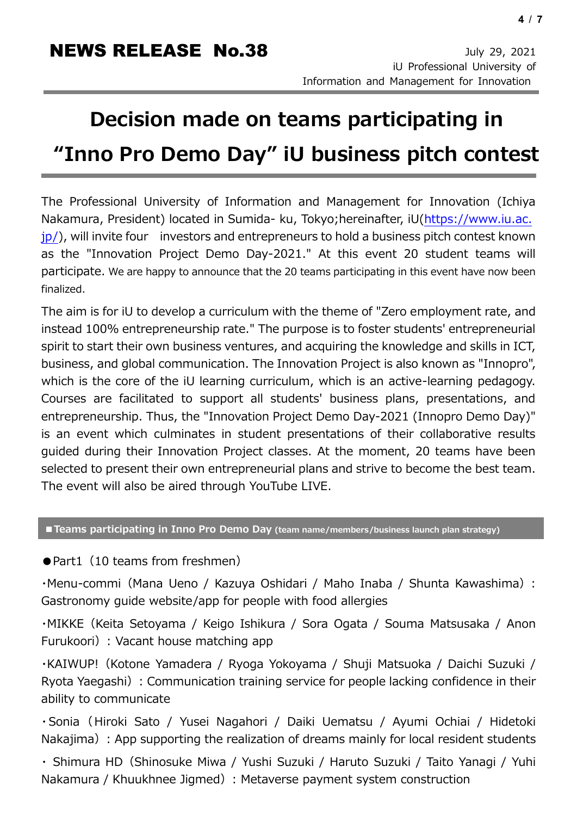# **Decision made on teams participating in "Inno Pro Demo Day" iU business pitch contest**

The Professional University of Information and Management for Innovation (Ichiya Nakamura, President) located in Sumida- ku, Tokyo;hereinafter, iU[\(https://www.iu.ac.](https://www.iu.ac.jp/)  $ip$ ), will invite four investors and entrepreneurs to hold a business pitch contest known as the "Innovation Project Demo Day-2021." At this event 20 student teams will participate. We are happy to announce that the 20 teams participating in this event have now been finalized.

The aim is for iU to develop a curriculum with the theme of "Zero employment rate, and instead 100% entrepreneurship rate." The purpose is to foster students' entrepreneurial spirit to start their own business ventures, and acquiring the knowledge and skills in ICT, business, and global communication. The Innovation Project is also known as "Innopro", which is the core of the iU learning curriculum, which is an active-learning pedagogy. Courses are facilitated to support all students' business plans, presentations, and entrepreneurship. Thus, the "Innovation Project Demo Day-2021 (Innopro Demo Day)" is an event which culminates in student presentations of their collaborative results guided during their Innovation Project classes. At the moment, 20 teams have been selected to present their own entrepreneurial plans and strive to become the best team. The event will also be aired through YouTube LIVE.

## **■Teams participating in Inno Pro Demo Day (team name/members/business launch plan strategy)**

● Part1 (10 teams from freshmen)

・Menu-commi(Mana Ueno / Kazuya Oshidari / Maho Inaba / Shunta Kawashima): Gastronomy guide website/app for people with food allergies

・MIKKE(Keita Setoyama / Keigo Ishikura / Sora Ogata / Souma Matsusaka / Anon Furukoori): Vacant house matching app

・KAIWUP!(Kotone Yamadera / Ryoga Yokoyama / Shuji Matsuoka / Daichi Suzuki / Ryota Yaegashi): Communication training service for people lacking confidence in their ability to communicate

・Sonia(Hiroki Sato / Yusei Nagahori / Daiki Uematsu / Ayumi Ochiai / Hidetoki Nakajima) : App supporting the realization of dreams mainly for local resident students

・ Shimura HD(Shinosuke Miwa / Yushi Suzuki / Haruto Suzuki / Taito Yanagi / Yuhi Nakamura / Khuukhnee Jigmed): Metaverse payment system construction

novation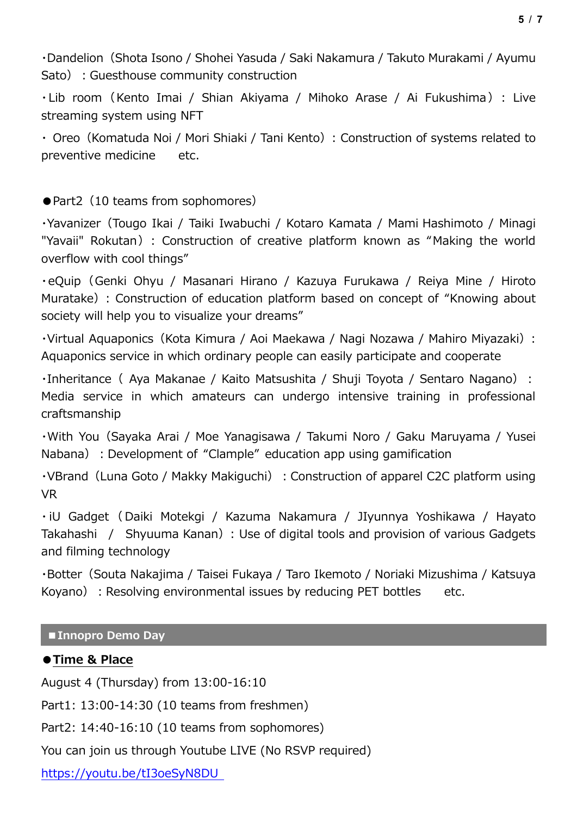・Dandelion(Shota Isono / Shohei Yasuda / Saki Nakamura / Takuto Murakami / Ayumu Sato): Guesthouse community construction

・Lib room(Kento Imai / Shian Akiyama / Mihoko Arase / Ai Fukushima): Live streaming system using NFT

• Oreo (Komatuda Noi / Mori Shiaki / Tani Kento): Construction of systems related to preventive medicine etc.

● Part2 (10 teams from sophomores)

・Yavanizer(Tougo Ikai / Taiki Iwabuchi / Kotaro Kamata / Mami Hashimoto / Minagi "Yavaii" Rokutan): Construction of creative platform known as "Making the world overflow with cool things"

・eQuip(Genki Ohyu / Masanari Hirano / Kazuya Furukawa / Reiya Mine / Hiroto Muratake): Construction of education platform based on concept of "Knowing about society will help you to visualize your dreams"

・Virtual Aquaponics(Kota Kimura / Aoi Maekawa / Nagi Nozawa / Mahiro Miyazaki): Aquaponics service in which ordinary people can easily participate and cooperate

· Inheritance ( Aya Makanae / Kaito Matsushita / Shuji Toyota / Sentaro Nagano): Media service in which amateurs can undergo intensive training in professional craftsmanship

・With You(Sayaka Arai / Moe Yanagisawa / Takumi Noro / Gaku Maruyama / Yusei Nabana) : Development of "Clample" education app using gamification

• VBrand (Luna Goto / Makky Makiguchi) : Construction of apparel C2C platform using VR

・ iU Gadget ( Daiki Motekgi / Kazuma Nakamura / JIyunnya Yoshikawa / Hayato Takahashi / Shyuuma Kanan): Use of digital tools and provision of various Gadgets and filming technology

・Botter(Souta Nakajima / Taisei Fukaya / Taro Ikemoto / Noriaki Mizushima / Katsuya Koyano): Resolving environmental issues by reducing PET bottles etc.

# **■Innopro Demo Day**

# **●Time & Place**

August 4 (Thursday) from 13:00-16:10

Part1: 13:00-14:30 (10 teams from freshmen)

Part2: 14:40-16:10 (10 teams from sophomores)

You can join us through Youtube LIVE (No RSVP required)

<https://youtu.be/tI3oeSyN8DU>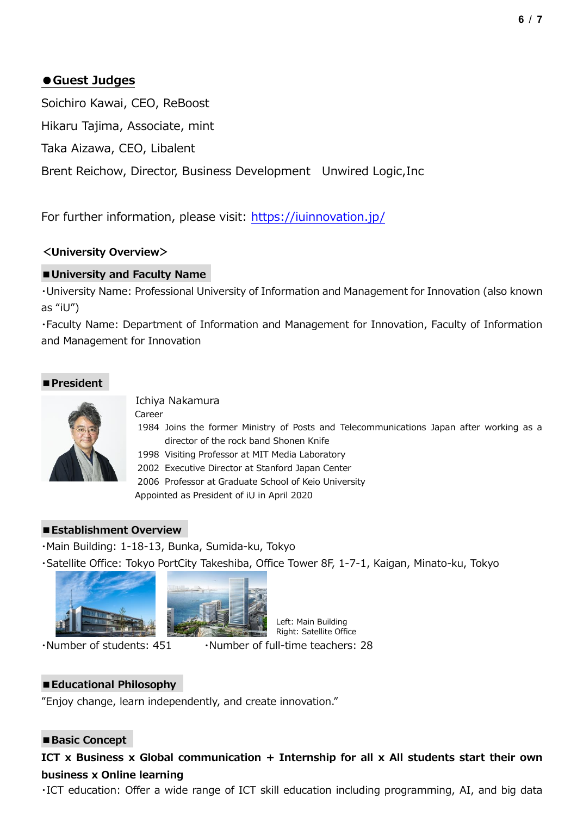# **●Guest Judges**

Soichiro Kawai, CEO, ReBoost

Hikaru Tajima, Associate, mint

Taka Aizawa, CEO, Libalent

Brent Reichow, Director, Business Development Unwired Logic,Inc

For further information, please visit:<https://iuinnovation.jp/>

# **<University Overview>**

# **■University and Faculty Name**

・University Name: Professional University of Information and Management for Innovation (also known as "iU")

・Faculty Name: Department of Information and Management for Innovation, Faculty of Information and Management for Innovation

# **■President**



Ichiya Nakamura

Career

1984 Joins the former Ministry of Posts and Telecommunications Japan after working as a director of the rock band Shonen Knife

1998 Visiting Professor at MIT Media Laboratory

2002 Executive Director at Stanford Japan Center

2006 Professor at Graduate School of Keio University

Appointed as President of iU in April 2020

# **■Establishment Overview**

・Main Building: 1-18-13, Bunka, Sumida-ku, Tokyo

・Satellite Office: Tokyo PortCity Takeshiba, Office Tower 8F, 1-7-1, Kaigan, Minato-ku, Tokyo





・Number of students: 451 ・Number of full-time teachers: 28 Right: Satellite Office

Left: Main Building

# **■Educational Philosophy**

"Enjoy change, learn independently, and create innovation."

# ■Basic Concept

# **ICT x Business x Global communication + Internship for all x All students start their own business x Online learning**

・ICT education: Offer a wide range of ICT skill education including programming, AI, and big data